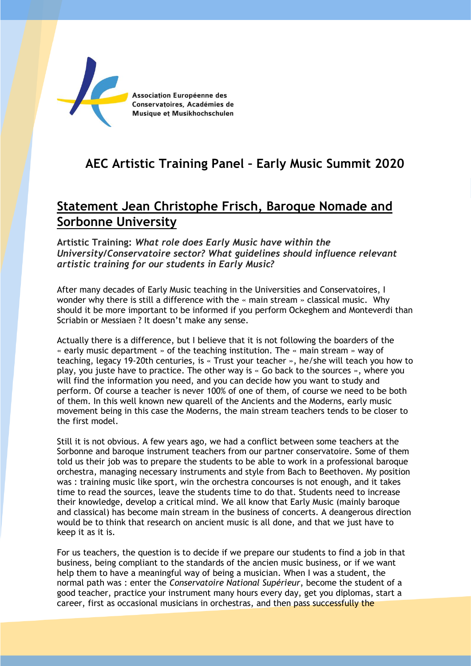

## **AEC Artistic Training Panel – Early Music Summit 2020**

## **Statement Jean Christophe Frisch, Baroque Nomade and Sorbonne University**

**Artistic Training:** *What role does Early Music have within the University/Conservatoire sector? What guidelines should influence relevant artistic training for our students in Early Music?*

After many decades of Early Music teaching in the Universities and Conservatoires, I wonder why there is still a difference with the « main stream » classical music. Why should it be more important to be informed if you perform Ockeghem and Monteverdi than Scriabin or Messiaen ? It doesn't make any sense.

Actually there is a difference, but I believe that it is not following the boarders of the « early music department » of the teaching institution. The « main stream » way of teaching, legacy 19-20th centuries, is « Trust your teacher », he/she will teach you how to play, you juste have to practice. The other way is « Go back to the sources », where you will find the information you need, and you can decide how you want to study and perform. Of course a teacher is never 100% of one of them, of course we need to be both of them. In this well known new quarell of the Ancients and the Moderns, early music movement being in this case the Moderns, the main stream teachers tends to be closer to the first model.

Still it is not obvious. A few years ago, we had a conflict between some teachers at the Sorbonne and baroque instrument teachers from our partner conservatoire. Some of them told us their job was to prepare the students to be able to work in a professional baroque orchestra, managing necessary instruments and style from Bach to Beethoven. My position was : training music like sport, win the orchestra concourses is not enough, and it takes time to read the sources, leave the students time to do that. Students need to increase their knowledge, develop a critical mind. We all know that Early Music (mainly baroque and classical) has become main stream in the business of concerts. A deangerous direction would be to think that research on ancient music is all done, and that we just have to keep it as it is.

For us teachers, the question is to decide if we prepare our students to find a job in that business, being compliant to the standards of the ancien music business, or if we want help them to have a meaningful way of being a musician. When I was a student, the normal path was : enter the *Conservatoire National Supérieur*, become the student of a good teacher, practice your instrument many hours every day, get you diplomas, start a career, first as occasional musicians in orchestras, and then pass successfully the